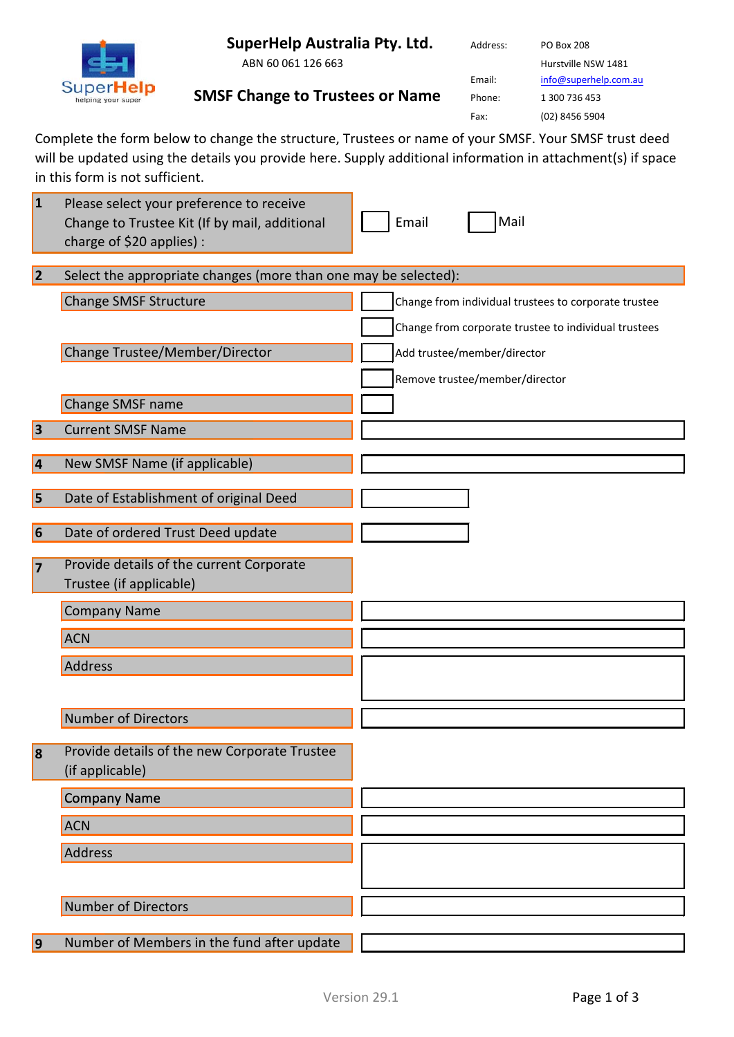**SuperHelp Australia Pty. Ltd.**

**SMSF Change to Trustees or Name** 



ABN 60 061 126 663

Address: PO Box 208

Hurstville NSW 1481 Email: [info@superhelp.com.au](mailto:info@superhelp.com.au) Phone: 1 300 736 453 Fax: (02) 8456 5904

Complete the form below to change the structure, Trustees or name of your SMSF. Your SMSF trust deed will be updated using the details you provide here. Supply additional information in attachment(s) if space in this form is not sufficient.

| $\vert$ 1 | Please select your preference to receive<br>Change to Trustee Kit (If by mail, additional<br>charge of \$20 applies) : | Mail<br>Email                                        |  |
|-----------|------------------------------------------------------------------------------------------------------------------------|------------------------------------------------------|--|
| 2         | Select the appropriate changes (more than one may be selected):                                                        |                                                      |  |
|           | <b>Change SMSF Structure</b>                                                                                           | Change from individual trustees to corporate trustee |  |
|           |                                                                                                                        | Change from corporate trustee to individual trustees |  |
|           | <b>Change Trustee/Member/Director</b>                                                                                  | Add trustee/member/director                          |  |
|           |                                                                                                                        | Remove trustee/member/director                       |  |
|           | Change SMSF name                                                                                                       |                                                      |  |
| $\vert$ 3 | <b>Current SMSF Name</b>                                                                                               |                                                      |  |
| 4         | New SMSF Name (if applicable)                                                                                          |                                                      |  |
| 5         | Date of Establishment of original Deed                                                                                 |                                                      |  |
|           |                                                                                                                        |                                                      |  |
| 6         | Date of ordered Trust Deed update                                                                                      |                                                      |  |
| 7         | Provide details of the current Corporate                                                                               |                                                      |  |
|           | Trustee (if applicable)                                                                                                |                                                      |  |
|           | <b>Company Name</b>                                                                                                    |                                                      |  |
|           | <b>ACN</b>                                                                                                             |                                                      |  |
|           | <b>Address</b>                                                                                                         |                                                      |  |
|           |                                                                                                                        |                                                      |  |
|           | <b>Number of Directors</b>                                                                                             |                                                      |  |
| 8         | Provide details of the new Corporate Trustee                                                                           |                                                      |  |
|           | (if applicable)                                                                                                        |                                                      |  |
|           | <b>Company Name</b>                                                                                                    |                                                      |  |
|           | <b>ACN</b>                                                                                                             |                                                      |  |
|           | <b>Address</b>                                                                                                         |                                                      |  |
|           |                                                                                                                        |                                                      |  |
|           | <b>Number of Directors</b>                                                                                             |                                                      |  |
| $\vert$ 9 | Number of Members in the fund after update                                                                             |                                                      |  |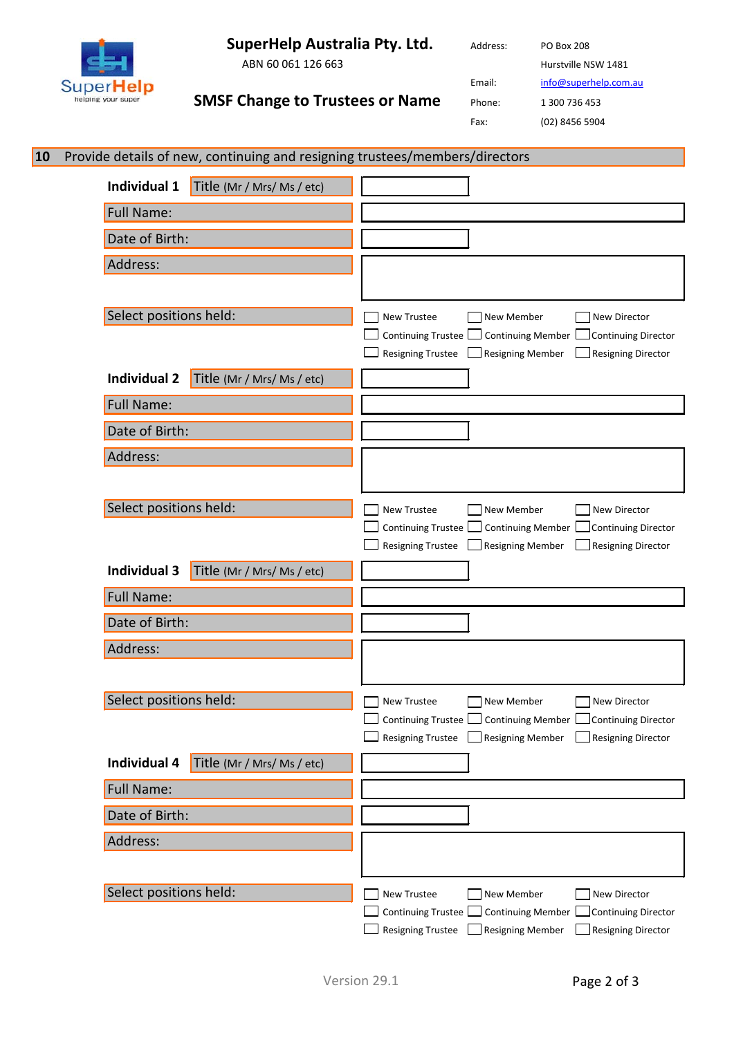**SuperHelp Australia Pty. Ltd.**

**SMSF Change to Trustees or Name** 



ABN 60 061 126 663

Address: PO Box 208

Hurstville NSW 1481

Email: [info@superhelp.com.au](mailto:info@superhelp.com.au)

Phone: 1 300 736 453

Fax: (02) 8456 5904

| 10 | Provide details of new, continuing and resigning trustees/members/directors |                                                                                                                                            |
|----|-----------------------------------------------------------------------------|--------------------------------------------------------------------------------------------------------------------------------------------|
|    | Individual 1<br>Title (Mr / Mrs/ Ms / etc)                                  |                                                                                                                                            |
|    | <b>Full Name:</b>                                                           |                                                                                                                                            |
|    | Date of Birth:                                                              |                                                                                                                                            |
|    | Address:                                                                    |                                                                                                                                            |
|    |                                                                             |                                                                                                                                            |
|    | Select positions held:                                                      | New Trustee<br>New Member<br>New Director                                                                                                  |
|    |                                                                             | Continuing Trustee Continuing Member [<br>Continuing Director<br>$\Box$ Resigning Member<br>Resigning Director<br><b>Resigning Trustee</b> |
|    | <b>Individual 2</b><br>Title (Mr / Mrs/ Ms / etc)                           |                                                                                                                                            |
|    | <b>Full Name:</b>                                                           |                                                                                                                                            |
|    | Date of Birth:                                                              |                                                                                                                                            |
|    | Address:                                                                    |                                                                                                                                            |
|    |                                                                             |                                                                                                                                            |
|    | Select positions held:                                                      | New Trustee<br>New Member<br>New Director                                                                                                  |
|    |                                                                             | Continuing Member<br>Continuing Trustee  <br>Continuing Director<br>Resigning Member<br>Resigning Director<br><b>Resigning Trustee</b>     |
|    | <b>Individual 3</b><br>Title (Mr / Mrs/ Ms / etc)                           |                                                                                                                                            |
|    | <b>Full Name:</b>                                                           |                                                                                                                                            |
|    | Date of Birth:                                                              |                                                                                                                                            |
|    | Address:                                                                    |                                                                                                                                            |
|    |                                                                             |                                                                                                                                            |
|    | Select positions held:                                                      | <b>New Trustee</b><br>New Member<br>New Director                                                                                           |
|    |                                                                             | Continuing Trustee Continuing Member Continuing Director<br>Resigning Trustee Resigning Member Resigning Director                          |
|    | Individual 4<br>Title (Mr / Mrs/ Ms / etc)                                  |                                                                                                                                            |
|    | <b>Full Name:</b>                                                           |                                                                                                                                            |
|    | Date of Birth:                                                              |                                                                                                                                            |
|    | Address:                                                                    |                                                                                                                                            |
|    |                                                                             |                                                                                                                                            |
|    | Select positions held:                                                      | New Trustee<br>New Member<br>New Director                                                                                                  |
|    |                                                                             | Continuing Trustee Continuing Member [<br>Continuing Director<br>Resigning Trustee<br>$\Box$ Resigning Member<br>Resigning Director        |
|    |                                                                             |                                                                                                                                            |